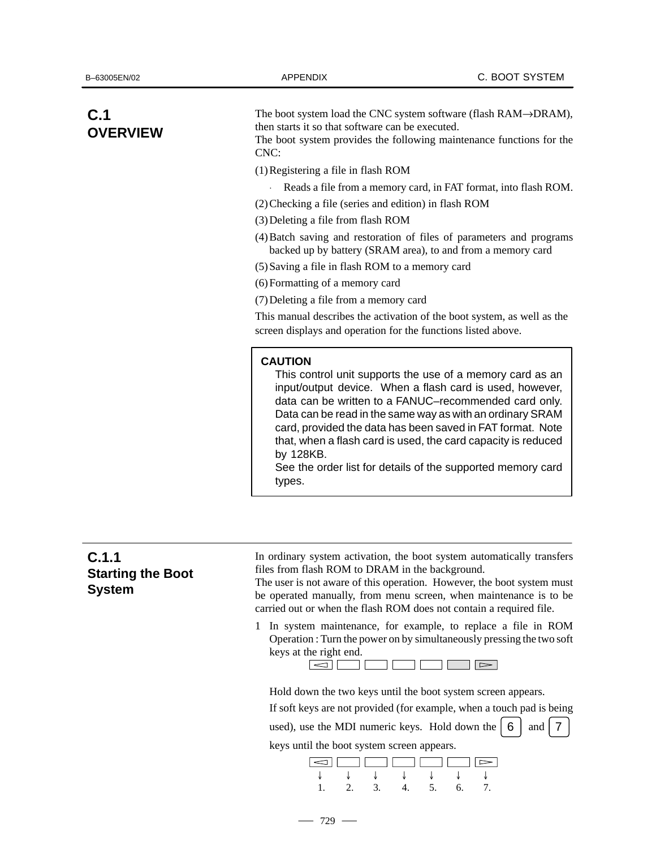# **C.1 OVERVIEW**

The boot system load the CNC system software (flash RAM→DRAM), then starts it so that software can be executed.

The boot system provides the following maintenance functions for the CNC:

(1)Registering a file in flash ROM

- Reads a file from a memory card, in FAT format, into flash ROM.
- (2)Checking a file (series and edition) in flash ROM

(3)Deleting a file from flash ROM

- (4)Batch saving and restoration of files of parameters and programs backed up by battery (SRAM area), to and from a memory card
- (5)Saving a file in flash ROM to a memory card

(6)Formatting of a memory card

(7)Deleting a file from a memory card

This manual describes the activation of the boot system, as well as the screen displays and operation for the functions listed above.

### **CAUTION**

This control unit supports the use of a memory card as an input/output device. When a flash card is used, however, data can be written to a FANUC–recommended card only. Data can be read in the same way as with an ordinary SRAM card, provided the data has been saved in FAT format. Note that, when a flash card is used, the card capacity is reduced by 128KB.

See the order list for details of the supported memory card types.

| C.1.1<br><b>Starting the Boot</b><br>System | In ordinary system activation, the boot system automatically transfers<br>files from flash ROM to DRAM in the background.<br>The user is not aware of this operation. However, the boot system must<br>be operated manually, from menu screen, when maintenance is to be |
|---------------------------------------------|--------------------------------------------------------------------------------------------------------------------------------------------------------------------------------------------------------------------------------------------------------------------------|
|                                             | carried out or when the flash ROM does not contain a required file.                                                                                                                                                                                                      |
|                                             | 1 In system maintenance, for example, to replace a file in ROM                                                                                                                                                                                                           |

Operation : Turn the power on by simultaneously pressing the two soft keys at the right end.



Hold down the two keys until the boot system screen appears.

If soft keys are not provided (for example, when a touch pad is being

used), use the MDI numeric keys. Hold down the  $\begin{bmatrix} 6 \\ 1 \end{bmatrix}$  and  $\begin{bmatrix} 7 \\ 7 \end{bmatrix}$ 

keys until the boot system screen appears.



 $-729 -$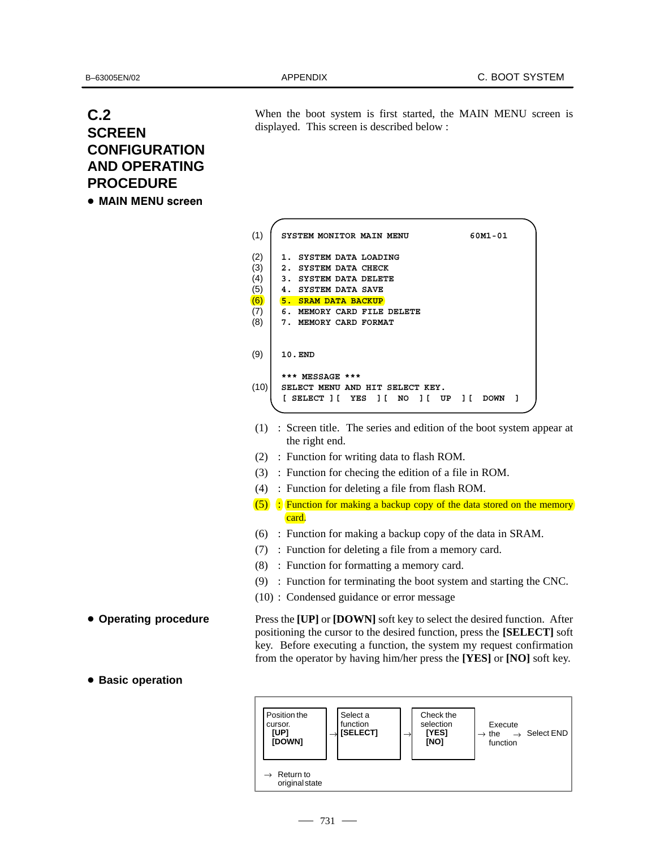## **C.2 SCREEN CONFIGURATION AND OPERATING PROCEDURE** -

 $\bullet\,$  MAIN MENU screen

When the boot system is first started, the MAIN MENU screen is displayed. This screen is described below :

**SYSTEM MONITOR MAIN MENU 60M1-01 1. SYSTEM DATA LOADING 2. SYSTEM DATA CHECK 3. SYSTEM DATA DELETE 4. SYSTEM DATA SAVE 5. SRAM DATA BACKUP 6. MEMORY CARD FILE DELETE 7. MEMORY CARD FORMAT 10.END \*\*\* MESSAGE \*\*\* SELECT MENU AND HIT SELECT KEY. [ SELECT ][ YES ][ NO ][ UP ][ DOWN ]** (1) (2) (3) (4) (5) (6) (7) (8) (9) (10)

- (1) : Screen title. The series and edition of the boot system appear at the right end.
- (2) : Function for writing data to flash ROM.
- (3) : Function for checing the edition of a file in ROM.
- (4) : Function for deleting a file from flash ROM.
- (5) : Function for making a backup copy of the data stored on the memory card.
- (6) : Function for making a backup copy of the data in SRAM.
- (7) : Function for deleting a file from a memory card.
- (8) : Function for formatting a memory card.
- (9) : Function for terminating the boot system and starting the CNC.
- (10) : Condensed guidance or error message

Press the **[UP]** or **[DOWN]** soft key to select the desired function. After positioning the cursor to the desired function, press the **[SELECT]** soft key. Before executing a function, the system my request confirmation from the operator by having him/her press the **[YES]** or **[NO]** soft key.

**Basic operation**

**Operating procedure**

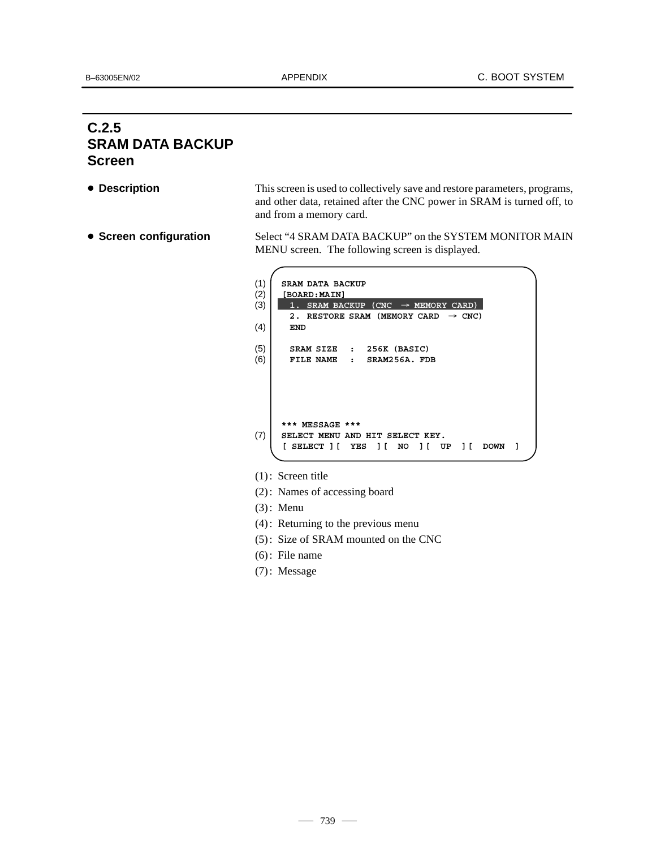# **C.2.5 SRAM DATA BACKUP Screen**

**Description**

**• Screen configuration** 

This screen is used to collectively save and restore parameters, programs, and other data, retained after the CNC power in SRAM is turned off, to and from a memory card.

Select "4 SRAM DATA BACKUP" on the SYSTEM MONITOR MAIN MENU screen. The following screen is displayed.

| (1) | SRAM DATA BACKUP                                      |
|-----|-------------------------------------------------------|
| (2) | [BOARD:MAIN]                                          |
| (3) | SRAM BACKUP (CNC $\rightarrow$ MEMORY CARD)           |
|     | RESTORE SRAM (MEMORY CARD<br>$\rightarrow$ CNC)<br>2. |
| (4) | END                                                   |
|     |                                                       |
| (5) | 256K (BASIC)<br>SRAM SIZE<br>$\mathbf{r}$             |
| (6) | FILE NAME<br>SRAM256A. FDB<br>$\ddot{\phantom{a}}$    |
|     |                                                       |
|     |                                                       |
|     |                                                       |
|     |                                                       |
|     |                                                       |
|     | *** MESSAGE ***                                       |
| (7) | SELECT MENU AND HIT SELECT KEY.                       |
|     | SELECT 1 [<br>YES<br>11<br>NO<br>UP<br><b>DOWN</b>    |
|     |                                                       |

- (1): Screen title
- (2): Names of accessing board
- (3): Menu
- (4): Returning to the previous menu
- (5): Size of SRAM mounted on the CNC
- (6): File name
- (7): Message

 $-739 -$